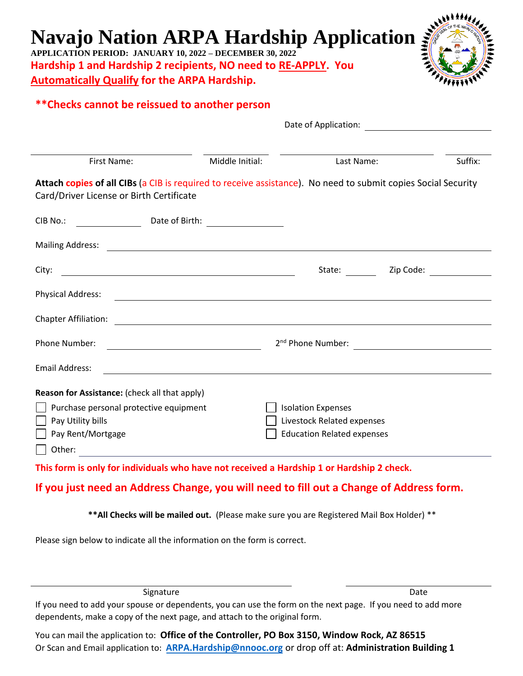## **Navajo Nation ARPA Hardship Application**

**APPLICATION PERIOD: JANUARY 10, 2022 – DECEMBER 30, 2022 Hardship 1 and Hardship 2 recipients, NO need to RE-APPLY. You Automatically Qualify for the ARPA Hardship.**



## **\*\*Checks cannot be reissued to another person**

|                                                                                                                                                           | Date of Application:                    |                                   |                                                                                                                |  |
|-----------------------------------------------------------------------------------------------------------------------------------------------------------|-----------------------------------------|-----------------------------------|----------------------------------------------------------------------------------------------------------------|--|
|                                                                                                                                                           |                                         |                                   |                                                                                                                |  |
| <b>First Name:</b>                                                                                                                                        | Middle Initial:                         | Last Name:                        | Suffix:                                                                                                        |  |
| Attach copies of all CIBs (a CIB is required to receive assistance). No need to submit copies Social Security<br>Card/Driver License or Birth Certificate |                                         |                                   |                                                                                                                |  |
| $CIB$ No.:                                                                                                                                                |                                         |                                   |                                                                                                                |  |
|                                                                                                                                                           |                                         |                                   |                                                                                                                |  |
| City:<br><u> 1989 - Johann Stoff, deutscher Stoffen und der Stoffen und der Stoffen und der Stoffen und der Stoffen und der</u>                           |                                         | State:                            | Zip Code: The Code State of the Code State of the Code State of the Code State of the Code State of the Code S |  |
| <b>Physical Address:</b>                                                                                                                                  |                                         |                                   |                                                                                                                |  |
| Chapter Affiliation:                                                                                                                                      |                                         |                                   |                                                                                                                |  |
| Phone Number:                                                                                                                                             | <u> 1980 - Johann Barbara, martin a</u> |                                   |                                                                                                                |  |
| Email Address:                                                                                                                                            |                                         |                                   |                                                                                                                |  |
| Reason for Assistance: (check all that apply)                                                                                                             |                                         |                                   |                                                                                                                |  |
| Purchase personal protective equipment                                                                                                                    |                                         | <b>Isolation Expenses</b>         |                                                                                                                |  |
| Pay Utility bills                                                                                                                                         |                                         | Livestock Related expenses        |                                                                                                                |  |
| Pay Rent/Mortgage                                                                                                                                         |                                         | <b>Education Related expenses</b> |                                                                                                                |  |
| Other:                                                                                                                                                    |                                         |                                   |                                                                                                                |  |

**This form is only for individuals who have not received a Hardship 1 or Hardship 2 check.** 

## **If you just need an Address Change, you will need to fill out a Change of Address form.**

**\*\*All Checks will be mailed out.** (Please make sure you are Registered Mail Box Holder) \*\*

Please sign below to indicate all the information on the form is correct.

Signature Date

If you need to add your spouse or dependents, you can use the form on the next page. If you need to add more dependents, make a copy of the next page, and attach to the original form.

You can mail the application to: **Office of the Controller, PO Box 3150, Window Rock, AZ 86515** Or Scan and Email application to: **ARPA.[Hardship@nnooc.org](mailto:ARPAHardship@nnooc.org)** or drop off at: **Administration Building 1**